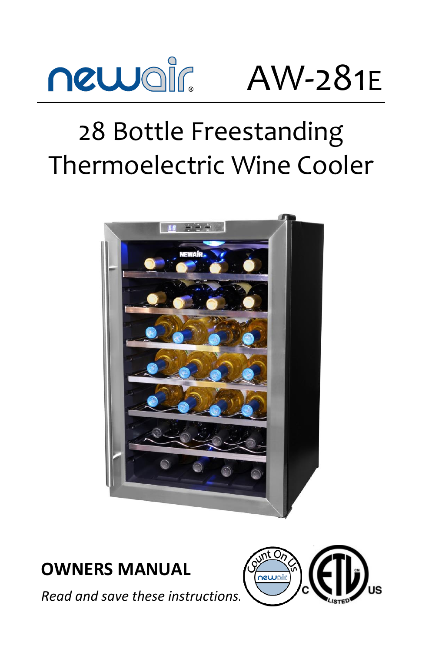

AW-281E

# 28 Bottle Freestanding Thermoelectric Wine Cooler



## **OWNERS MANUAL**

*Read and save these instructions.*

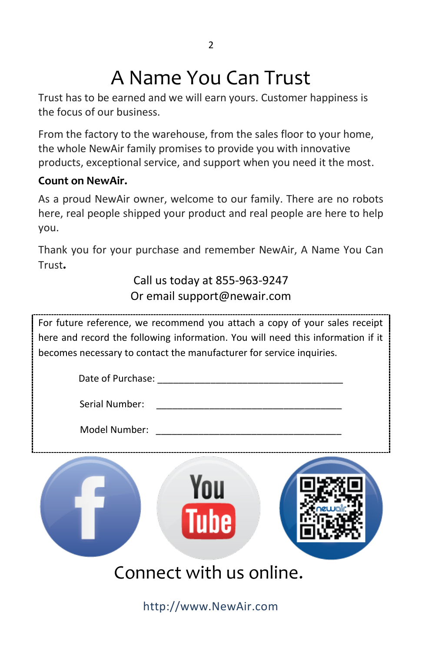## A Name You Can Trust

Trust has to be earned and we will earn yours. Customer happiness is the focus of our business.

From the factory to the warehouse, from the sales floor to your home, the whole NewAir family promises to provide you with innovative products, exceptional service, and support when you need it the most.

#### **Count on NewAir.**

As a proud NewAir owner, welcome to our family. There are no robots here, real people shipped your product and real people are here to help you.

Thank you for your purchase and remember NewAir, A Name You Can Trust**.**

## Call us today at 855-963-9247 Or email support@newair.com

For future reference, we recommend you attach a copy of your sales receipt here and record the following information. You will need this information if it becomes necessary to contact the manufacturer for service inquiries.

| Date of Purchase: |                         |  |
|-------------------|-------------------------|--|
| Serial Number:    |                         |  |
| Model Number:     |                         |  |
|                   | <b>Tube</b>             |  |
|                   | Connect with us online. |  |

http://www.NewAir.com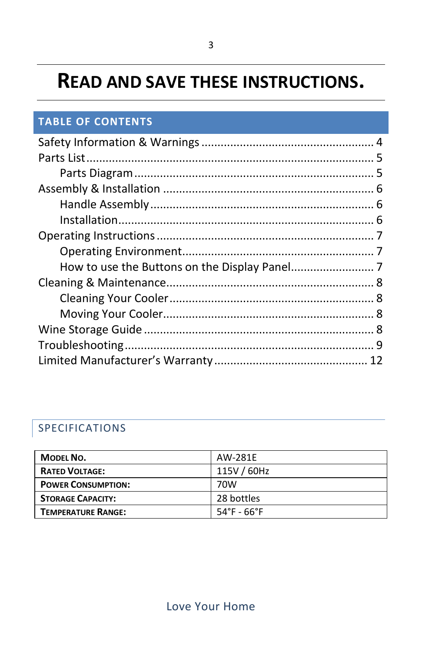## **READ AND SAVE THESE INSTRUCTIONS.**

#### **TABLE OF CONTENTS**

#### SPECIFICATIONS

| <b>MODEL NO.</b>          | AW-281E     |
|---------------------------|-------------|
| <b>RATED VOLTAGE:</b>     | 115V / 60Hz |
| <b>POWER CONSUMPTION:</b> | 70W         |
| <b>STORAGE CAPACITY:</b>  | 28 bottles  |
| <b>TEMPERATURE RANGE:</b> | 54°F - 66°F |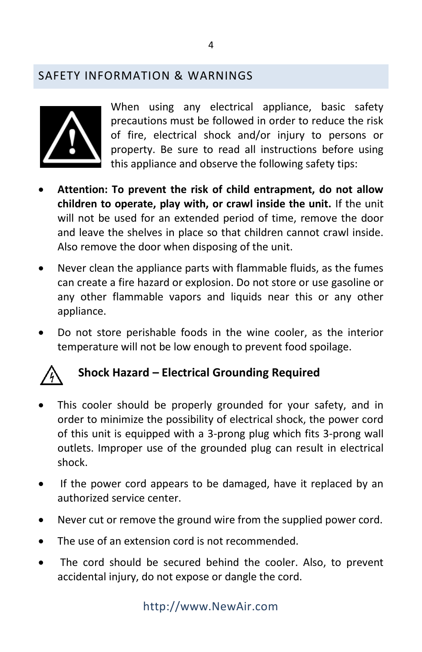#### <span id="page-3-0"></span>SAFETY INFORMATION & WARNINGS



When using any electrical appliance, basic safety precautions must be followed in order to reduce the risk of fire, electrical shock and/or injury to persons or property. Be sure to read all instructions before using this appliance and observe the following safety tips:

- **Attention: To prevent the risk of child entrapment, do not allow children to operate, play with, or crawl inside the unit.** If the unit will not be used for an extended period of time, remove the door and leave the shelves in place so that children cannot crawl inside. Also remove the door when disposing of the unit.
- Never clean the appliance parts with flammable fluids, as the fumes can create a fire hazard or explosion. Do not store or use gasoline or any other flammable vapors and liquids near this or any other appliance.
- Do not store perishable foods in the wine cooler, as the interior temperature will not be low enough to prevent food spoilage.



### **Shock Hazard – Electrical Grounding Required**

- This cooler should be properly grounded for your safety, and in order to minimize the possibility of electrical shock, the power cord of this unit is equipped with a 3-prong plug which fits 3-prong wall outlets. Improper use of the grounded plug can result in electrical shock.
- If the power cord appears to be damaged, have it replaced by an authorized service center.
- Never cut or remove the ground wire from the supplied power cord.
- The use of an extension cord is not recommended.
- The cord should be secured behind the cooler. Also, to prevent accidental injury, do not expose or dangle the cord.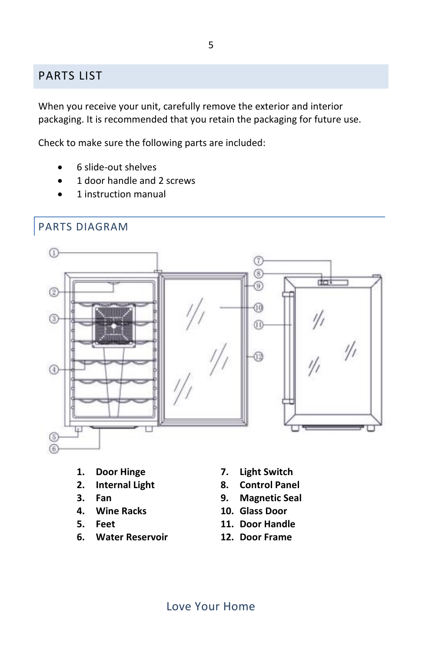#### <span id="page-4-0"></span>PARTS LIST

When you receive your unit, carefully remove the exterior and interior packaging. It is recommended that you retain the packaging for future use.

Check to make sure the following parts are included:

- 6 slide-out shelves
- 1 door handle and 2 screws
- 1 instruction manual

<span id="page-4-1"></span>

- **1. Door Hinge**
- **2. Internal Light**
- **3. Fan**
- **4. Wine Racks**
- **5. Feet**
- **6. Water Reservoir**
- **7. Light Switch**
- **8. Control Panel**
- **9. Magnetic Seal**
- **10. Glass Door**
- **11. Door Handle**
- **12. Door Frame**

Love Your Home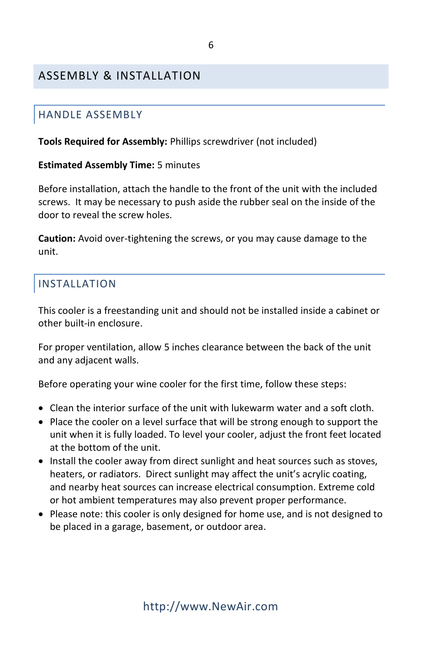#### <span id="page-5-1"></span><span id="page-5-0"></span>ASSEMBLY & INSTALLATION

#### HANDLE ASSEMBLY

**Tools Required for Assembly:** Phillips screwdriver (not included)

#### **Estimated Assembly Time:** 5 minutes

Before installation, attach the handle to the front of the unit with the included screws. It may be necessary to push aside the rubber seal on the inside of the door to reveal the screw holes.

**Caution:** Avoid over-tightening the screws, or you may cause damage to the unit.

#### <span id="page-5-2"></span>INSTALLATION

This cooler is a freestanding unit and should not be installed inside a cabinet or other built-in enclosure.

For proper ventilation, allow 5 inches clearance between the back of the unit and any adjacent walls.

Before operating your wine cooler for the first time, follow these steps:

- Clean the interior surface of the unit with lukewarm water and a soft cloth.
- Place the cooler on a level surface that will be strong enough to support the unit when it is fully loaded. To level your cooler, adjust the front feet located at the bottom of the unit.
- Install the cooler away from direct sunlight and heat sources such as stoves, heaters, or radiators. Direct sunlight may affect the unit's acrylic coating, and nearby heat sources can increase electrical consumption. Extreme cold or hot ambient temperatures may also prevent proper performance.
- Please note: this cooler is only designed for home use, and is not designed to be placed in a garage, basement, or outdoor area.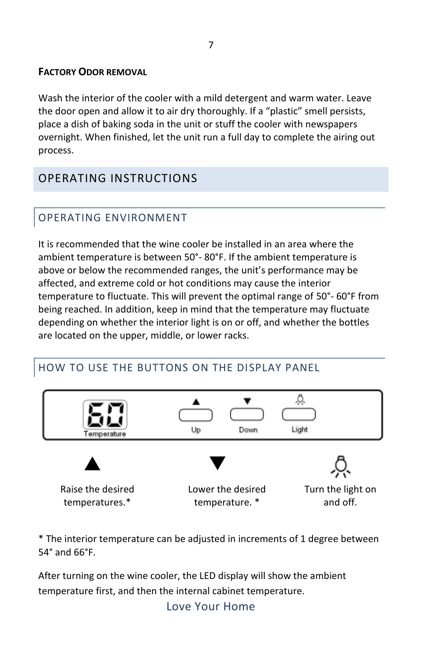#### **FACTORY ODOR REMOVAL**

Wash the interior of the cooler with a mild detergent and warm water. Leave the door open and allow it to air dry thoroughly. If a "plastic" smell persists, place a dish of baking soda in the unit or stuff the cooler with newspapers overnight. When finished, let the unit run a full day to complete the airing out process.

## <span id="page-6-0"></span>OPERATING INSTRUCTIONS

## <span id="page-6-1"></span>OPERATING ENVIRONMENT

It is recommended that the wine cooler be installed in an area where the ambient temperature is between 50°- 80°F. If the ambient temperature is above or below the recommended ranges, the unit's performance may be affected, and extreme cold or hot conditions may cause the interior temperature to fluctuate. This will prevent the optimal range of 50°- 60°F from being reached. In addition, keep in mind that the temperature may fluctuate depending on whether the interior light is on or off, and whether the bottles are located on the upper, middle, or lower racks.

### <span id="page-6-2"></span>HOW TO USE THE BUTTONS ON THE DISPLAY PANEL



\* The interior temperature can be adjusted in increments of 1 degree between 54° and 66°F.

After turning on the wine cooler, the LED display will show the ambient temperature first, and then the internal cabinet temperature.

Love Your Home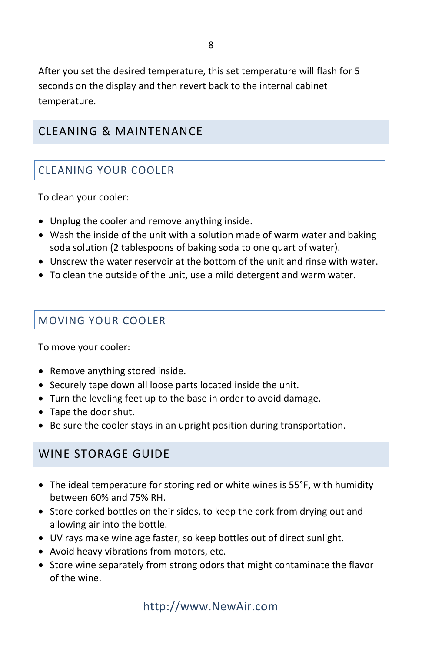After you set the desired temperature, this set temperature will flash for 5 seconds on the display and then revert back to the internal cabinet temperature.

#### <span id="page-7-0"></span>CLEANING & MAINTENANCE

#### <span id="page-7-1"></span>CLEANING YOUR COOLER

To clean your cooler:

- Unplug the cooler and remove anything inside.
- Wash the inside of the unit with a solution made of warm water and baking soda solution (2 tablespoons of baking soda to one quart of water).
- Unscrew the water reservoir at the bottom of the unit and rinse with water.
- To clean the outside of the unit, use a mild detergent and warm water.

#### <span id="page-7-2"></span>MOVING YOUR COOLER

To move your cooler:

- Remove anything stored inside.
- Securely tape down all loose parts located inside the unit.
- Turn the leveling feet up to the base in order to avoid damage.
- Tape the door shut.
- Be sure the cooler stays in an upright position during transportation.

#### <span id="page-7-3"></span>WINE STORAGE GUIDE

- The ideal temperature for storing red or white wines is 55°F, with humidity between 60% and 75% RH.
- Store corked bottles on their sides, to keep the cork from drying out and allowing air into the bottle.
- UV rays make wine age faster, so keep bottles out of direct sunlight.
- Avoid heavy vibrations from motors, etc.
- Store wine separately from strong odors that might contaminate the flavor of the wine.

### http://www.NewAir.com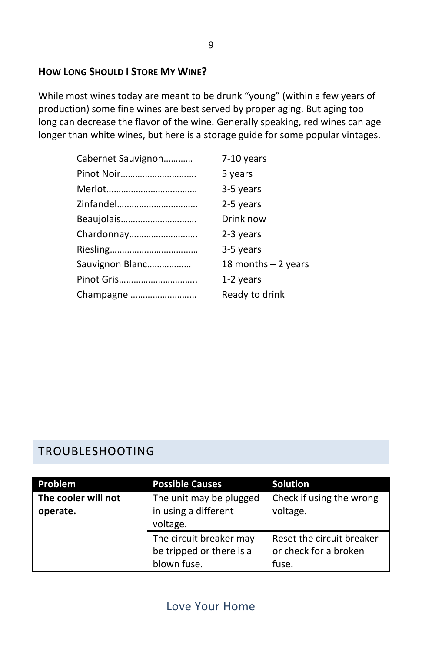#### **HOW LONG SHOULD I STORE MY WINE?**

While most wines today are meant to be drunk "young" (within a few years of production) some fine wines are best served by proper aging. But aging too long can decrease the flavor of the wine. Generally speaking, red wines can age longer than white wines, but here is a storage guide for some popular vintages.

| Cabernet Sauvignon | 7-10 years            |
|--------------------|-----------------------|
| Pinot Noir         | 5 years               |
|                    | 3-5 years             |
| Zinfandel          | 2-5 years             |
| Beaujolais         | Drink now             |
| Chardonnay         | 2-3 years             |
|                    | 3-5 years             |
| Sauvignon Blanc    | 18 months $-$ 2 years |
| Pinot Gris         | 1-2 years             |
| Champagne          | Ready to drink        |

#### <span id="page-8-0"></span>TROUBLESHOOTING

| Problem             | <b>Possible Causes</b>   | <b>Solution</b>           |
|---------------------|--------------------------|---------------------------|
| The cooler will not | The unit may be plugged  | Check if using the wrong  |
| operate.            | in using a different     | voltage.                  |
|                     | voltage.                 |                           |
|                     | The circuit breaker may  | Reset the circuit breaker |
|                     | be tripped or there is a | or check for a broken     |
|                     | blown fuse.              | fuse.                     |

#### Love Your Home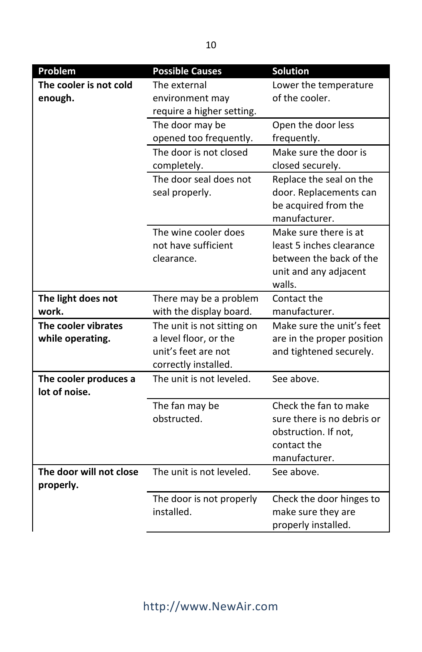| <b>Problem</b>                          | <b>Possible Causes</b>                                                                             | Solution                                                                                                        |
|-----------------------------------------|----------------------------------------------------------------------------------------------------|-----------------------------------------------------------------------------------------------------------------|
| The cooler is not cold<br>enough.       | The external<br>environment may<br>require a higher setting.                                       | Lower the temperature<br>of the cooler.                                                                         |
|                                         | The door may be<br>opened too frequently.                                                          | Open the door less<br>frequently.                                                                               |
|                                         | The door is not closed<br>completely.                                                              | Make sure the door is<br>closed securely.                                                                       |
|                                         | The door seal does not<br>seal properly.                                                           | Replace the seal on the<br>door. Replacements can<br>be acquired from the<br>manufacturer.                      |
|                                         | The wine cooler does<br>not have sufficient<br>clearance.                                          | Make sure there is at<br>least 5 inches clearance<br>between the back of the<br>unit and any adjacent<br>walls. |
| The light does not<br>work.             | There may be a problem<br>with the display board.                                                  | Contact the<br>manufacturer.                                                                                    |
| The cooler vibrates<br>while operating. | The unit is not sitting on<br>a level floor, or the<br>unit's feet are not<br>correctly installed. | Make sure the unit's feet<br>are in the proper position<br>and tightened securely.                              |
| The cooler produces a<br>lot of noise.  | The unit is not leveled.                                                                           | See above.                                                                                                      |
|                                         | The fan may be<br>obstructed.                                                                      | Check the fan to make<br>sure there is no debris or<br>obstruction. If not,<br>contact the<br>manufacturer.     |
| The door will not close<br>properly.    | The unit is not leveled.                                                                           | See above.                                                                                                      |
|                                         | The door is not properly<br>installed.                                                             | Check the door hinges to<br>make sure they are<br>properly installed.                                           |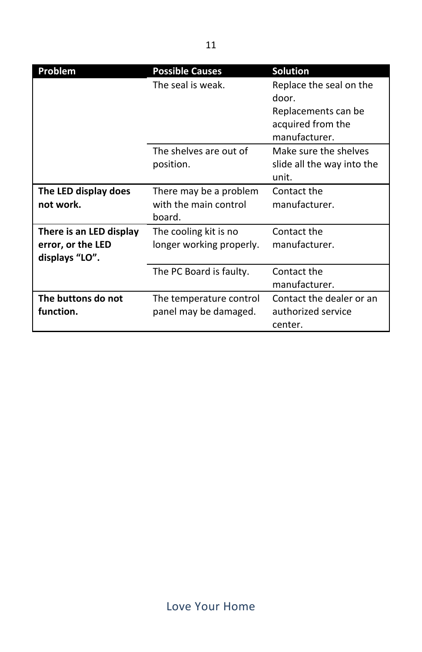| Problem                                                        | <b>Possible Causes</b>                                    | <b>Solution</b>                                                                               |
|----------------------------------------------------------------|-----------------------------------------------------------|-----------------------------------------------------------------------------------------------|
|                                                                | The seal is weak.                                         | Replace the seal on the<br>door.<br>Replacements can be<br>acquired from the<br>manufacturer. |
|                                                                | The shelves are out of<br>position.                       | Make sure the shelves<br>slide all the way into the<br>unit.                                  |
| The LED display does<br>not work.                              | There may be a problem<br>with the main control<br>board. | Contact the<br>manufacturer.                                                                  |
| There is an LED display<br>error, or the LED<br>displays "LO". | The cooling kit is no<br>longer working properly.         | Contact the<br>manufacturer.                                                                  |
|                                                                | The PC Board is faulty.                                   | Contact the<br>manufacturer.                                                                  |
| The buttons do not<br>function.                                | The temperature control<br>panel may be damaged.          | Contact the dealer or an<br>authorized service<br>center.                                     |